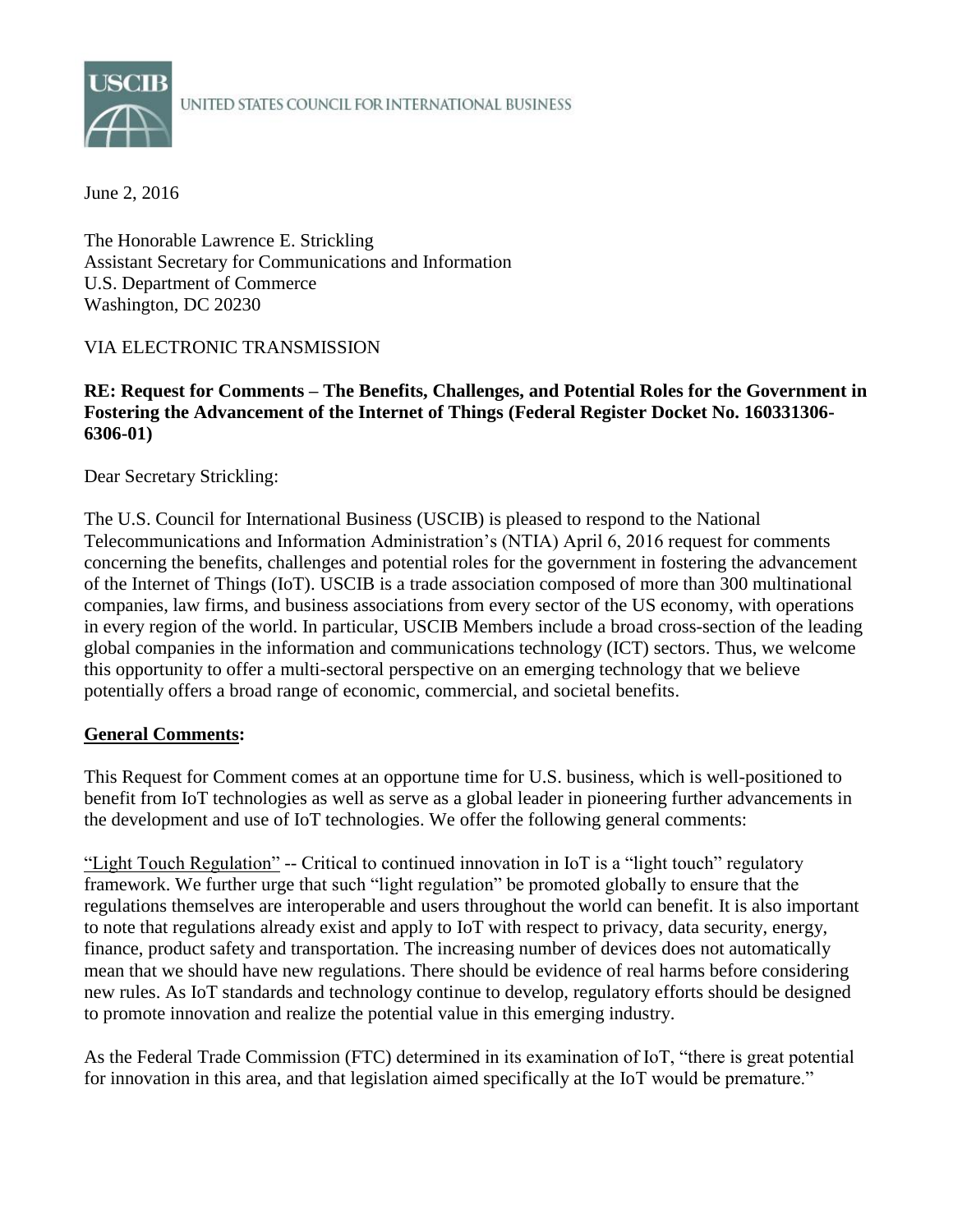

USCIB<br>UNITED STATES COUNCIL FOR INTERNATIONAL BUSINESS

June 2, 2016

The Honorable Lawrence E. Strickling Assistant Secretary for Communications and Information U.S. Department of Commerce Washington, DC 20230

### VIA ELECTRONIC TRANSMISSION

#### **RE: Request for Comments – The Benefits, Challenges, and Potential Roles for the Government in Fostering the Advancement of the Internet of Things (Federal Register Docket No. 160331306- 6306-01)**

Dear Secretary Strickling:

The U.S. Council for International Business (USCIB) is pleased to respond to the National Telecommunications and Information Administration's (NTIA) April 6, 2016 request for comments concerning the benefits, challenges and potential roles for the government in fostering the advancement of the Internet of Things (IoT). USCIB is a trade association composed of more than 300 multinational companies, law firms, and business associations from every sector of the US economy, with operations in every region of the world. In particular, USCIB Members include a broad cross-section of the leading global companies in the information and communications technology (ICT) sectors. Thus, we welcome this opportunity to offer a multi-sectoral perspective on an emerging technology that we believe potentially offers a broad range of economic, commercial, and societal benefits.

#### **General Comments:**

This Request for Comment comes at an opportune time for U.S. business, which is well-positioned to benefit from IoT technologies as well as serve as a global leader in pioneering further advancements in the development and use of IoT technologies. We offer the following general comments:

"Light Touch Regulation" -- Critical to continued innovation in IoT is a "light touch" regulatory framework. We further urge that such "light regulation" be promoted globally to ensure that the regulations themselves are interoperable and users throughout the world can benefit. It is also important to note that regulations already exist and apply to IoT with respect to privacy, data security, energy, finance, product safety and transportation. The increasing number of devices does not automatically mean that we should have new regulations. There should be evidence of real harms before considering new rules. As IoT standards and technology continue to develop, regulatory efforts should be designed to promote innovation and realize the potential value in this emerging industry.

As the Federal Trade Commission (FTC) determined in its examination of IoT, "there is great potential for innovation in this area, and that legislation aimed specifically at the IoT would be premature."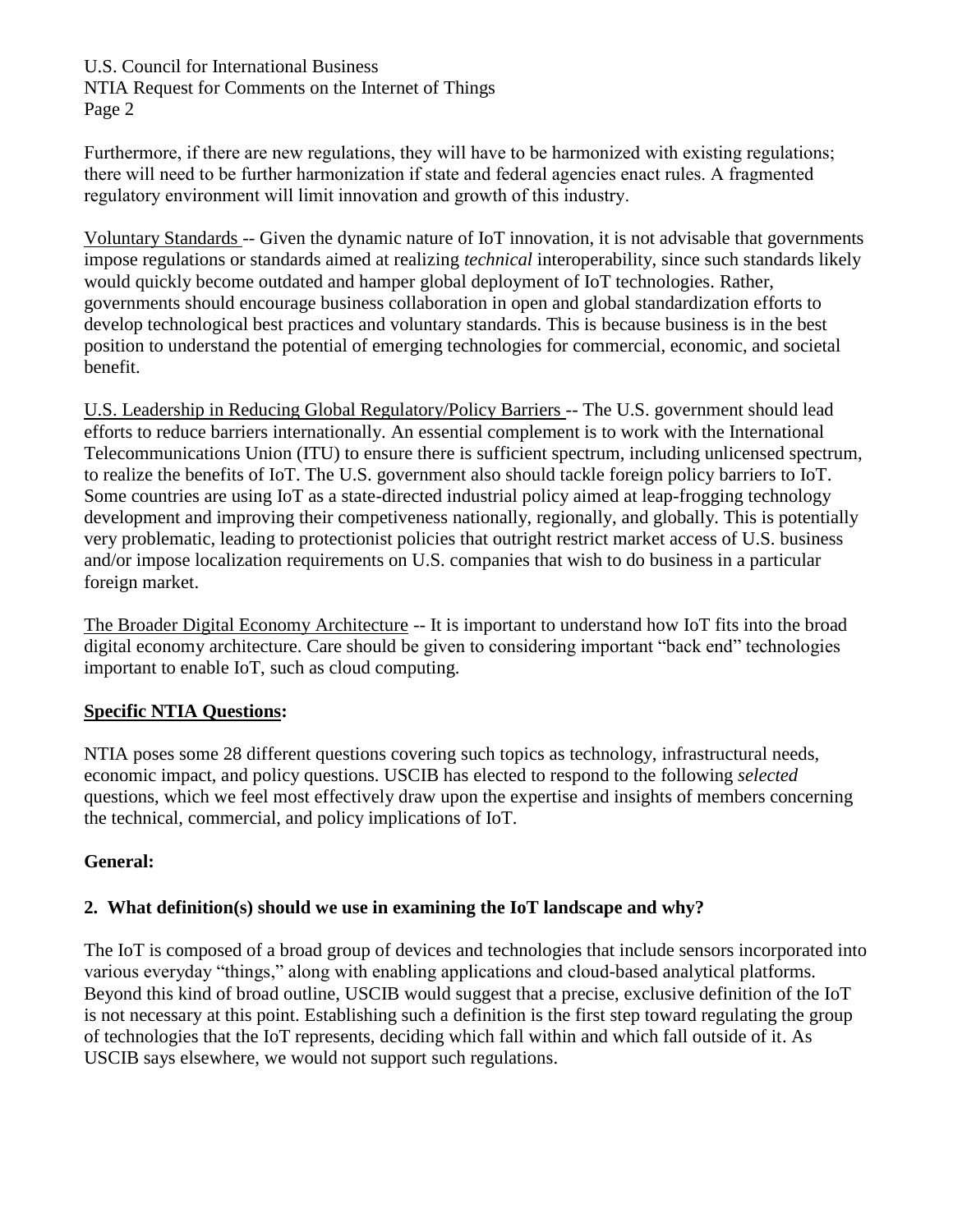NTIA Request for Comments on the Internet of Things Page 2

Furthermore, if there are new regulations, they will have to be harmonized with existing regulations; there will need to be further harmonization if state and federal agencies enact rules. A fragmented regulatory environment will limit innovation and growth of this industry.

Voluntary Standards -- Given the dynamic nature of IoT innovation, it is not advisable that governments impose regulations or standards aimed at realizing *technical* interoperability, since such standards likely would quickly become outdated and hamper global deployment of IoT technologies. Rather, governments should encourage business collaboration in open and global standardization efforts to develop technological best practices and voluntary standards. This is because business is in the best position to understand the potential of emerging technologies for commercial, economic, and societal benefit.

U.S. Leadership in Reducing Global Regulatory/Policy Barriers -- The U.S. government should lead efforts to reduce barriers internationally. An essential complement is to work with the International Telecommunications Union (ITU) to ensure there is sufficient spectrum, including unlicensed spectrum, to realize the benefits of IoT. The U.S. government also should tackle foreign policy barriers to IoT. Some countries are using IoT as a state-directed industrial policy aimed at leap-frogging technology development and improving their competiveness nationally, regionally, and globally. This is potentially very problematic, leading to protectionist policies that outright restrict market access of U.S. business and/or impose localization requirements on U.S. companies that wish to do business in a particular foreign market.

The Broader Digital Economy Architecture -- It is important to understand how IoT fits into the broad digital economy architecture. Care should be given to considering important "back end" technologies important to enable IoT, such as cloud computing.

## **Specific NTIA Questions:**

NTIA poses some 28 different questions covering such topics as technology, infrastructural needs, economic impact, and policy questions. USCIB has elected to respond to the following *selected*  questions, which we feel most effectively draw upon the expertise and insights of members concerning the technical, commercial, and policy implications of IoT.

## **General:**

## **2. What definition(s) should we use in examining the IoT landscape and why?**

The IoT is composed of a broad group of devices and technologies that include sensors incorporated into various everyday "things," along with enabling applications and cloud-based analytical platforms. Beyond this kind of broad outline, USCIB would suggest that a precise, exclusive definition of the IoT is not necessary at this point. Establishing such a definition is the first step toward regulating the group of technologies that the IoT represents, deciding which fall within and which fall outside of it. As USCIB says elsewhere, we would not support such regulations.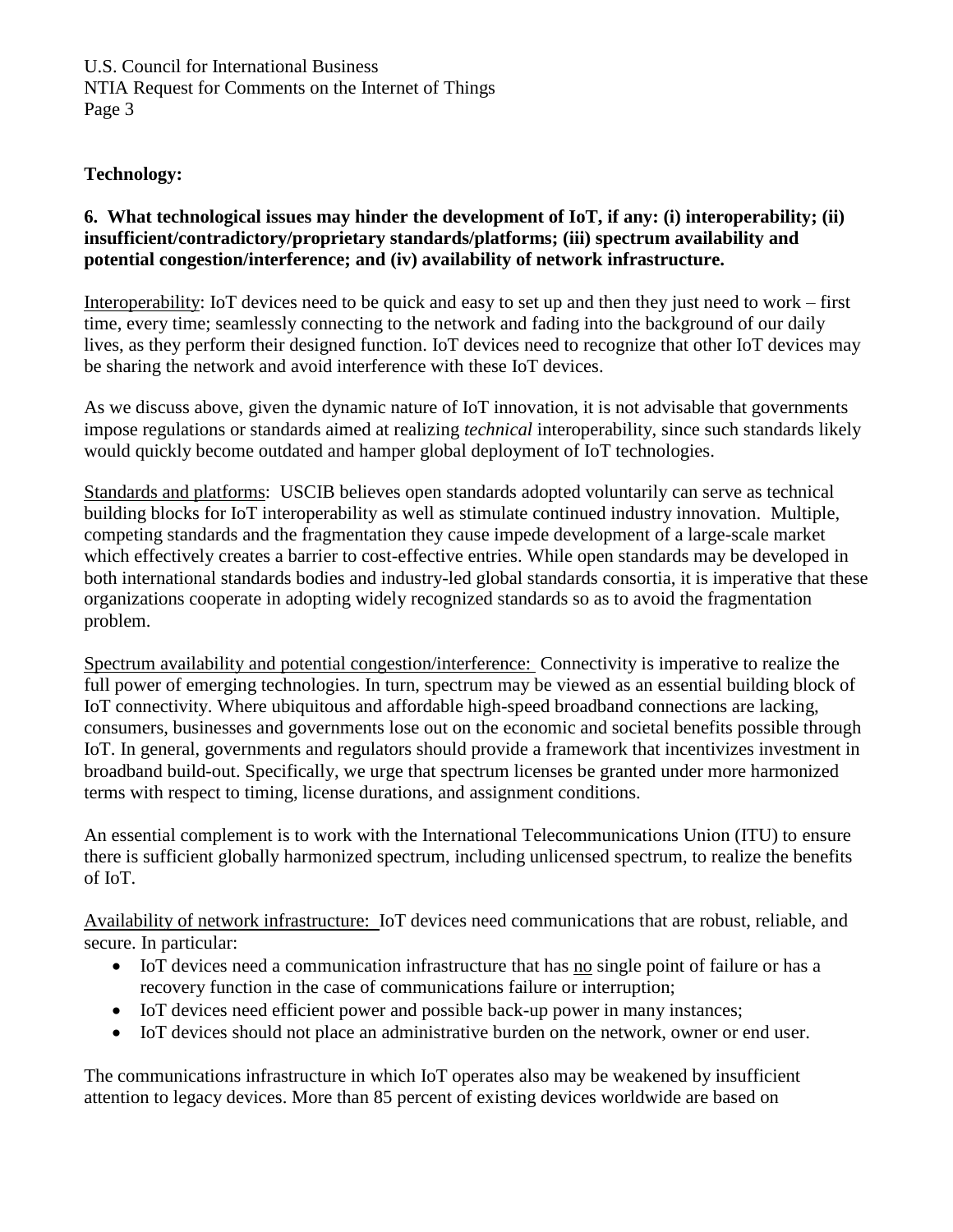U.S. Council for International Business NTIA Request for Comments on the Internet of Things Page 3

## **Technology:**

### **6. What technological issues may hinder the development of IoT, if any: (i) interoperability; (ii) insufficient/contradictory/proprietary standards/platforms; (iii) spectrum availability and potential congestion/interference; and (iv) availability of network infrastructure.**

Interoperability: IoT devices need to be quick and easy to set up and then they just need to work – first time, every time; seamlessly connecting to the network and fading into the background of our daily lives, as they perform their designed function. IoT devices need to recognize that other IoT devices may be sharing the network and avoid interference with these IoT devices.

As we discuss above, given the dynamic nature of IoT innovation, it is not advisable that governments impose regulations or standards aimed at realizing *technical* interoperability, since such standards likely would quickly become outdated and hamper global deployment of IoT technologies.

Standards and platforms: USCIB believes open standards adopted voluntarily can serve as technical building blocks for IoT interoperability as well as stimulate continued industry innovation. Multiple, competing standards and the fragmentation they cause impede development of a large-scale market which effectively creates a barrier to cost-effective entries. While open standards may be developed in both international standards bodies and industry-led global standards consortia, it is imperative that these organizations cooperate in adopting widely recognized standards so as to avoid the fragmentation problem.

Spectrum availability and potential congestion/interference: Connectivity is imperative to realize the full power of emerging technologies. In turn, spectrum may be viewed as an essential building block of IoT connectivity. Where ubiquitous and affordable high-speed broadband connections are lacking, consumers, businesses and governments lose out on the economic and societal benefits possible through IoT. In general, governments and regulators should provide a framework that incentivizes investment in broadband build-out. Specifically, we urge that spectrum licenses be granted under more harmonized terms with respect to timing, license durations, and assignment conditions.

An essential complement is to work with the International Telecommunications Union (ITU) to ensure there is sufficient globally harmonized spectrum, including unlicensed spectrum, to realize the benefits of IoT.

Availability of network infrastructure: IoT devices need communications that are robust, reliable, and secure. In particular:

- IoT devices need a communication infrastructure that has no single point of failure or has a recovery function in the case of communications failure or interruption;
- IoT devices need efficient power and possible back-up power in many instances;
- IoT devices should not place an administrative burden on the network, owner or end user.

The communications infrastructure in which IoT operates also may be weakened by insufficient attention to legacy devices. More than 85 percent of existing devices worldwide are based on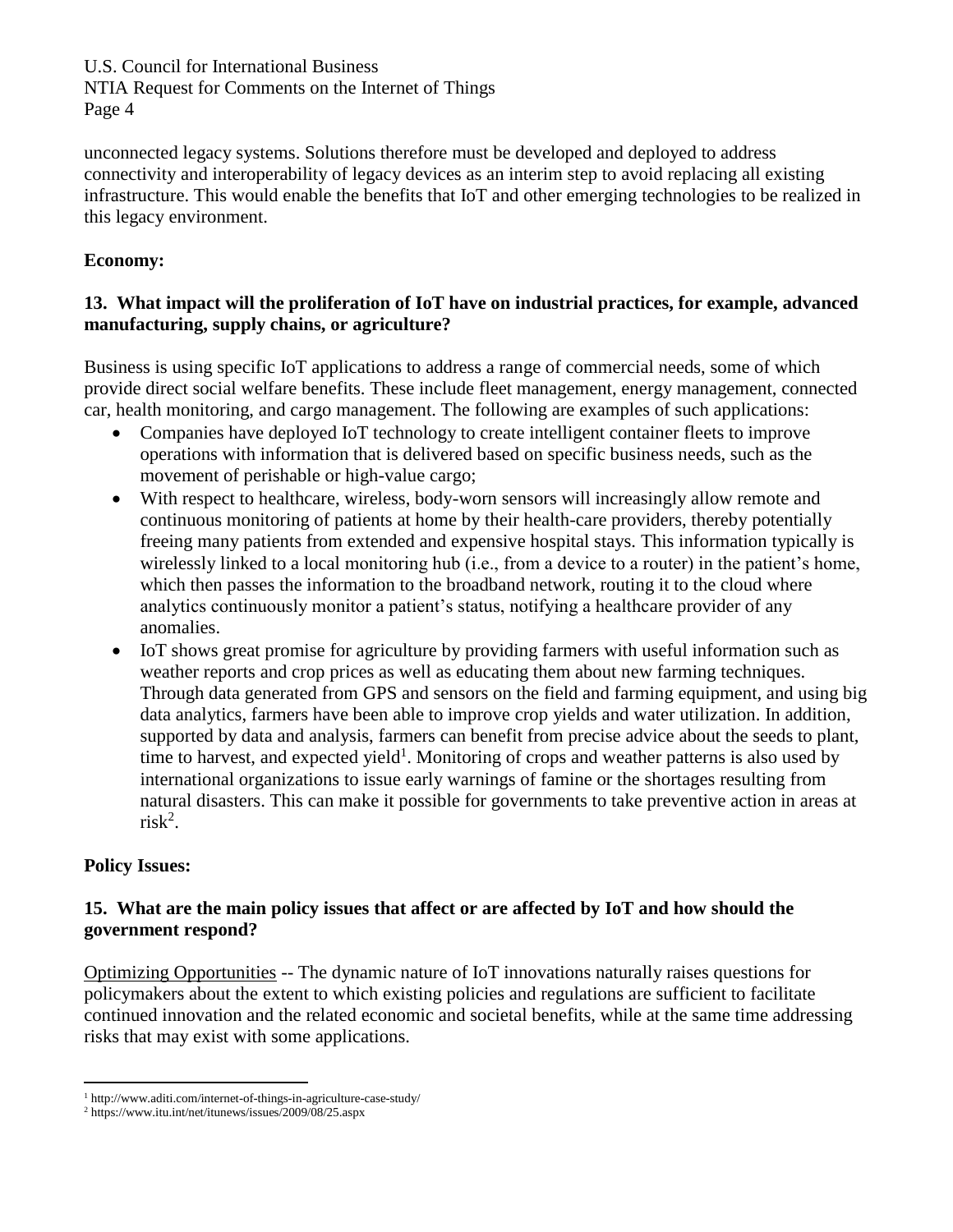NTIA Request for Comments on the Internet of Things Page 4

unconnected legacy systems. Solutions therefore must be developed and deployed to address connectivity and interoperability of legacy devices as an interim step to avoid replacing all existing infrastructure. This would enable the benefits that IoT and other emerging technologies to be realized in this legacy environment.

## **Economy:**

## **13. What impact will the proliferation of IoT have on industrial practices, for example, advanced manufacturing, supply chains, or agriculture?**

Business is using specific IoT applications to address a range of commercial needs, some of which provide direct social welfare benefits. These include fleet management, energy management, connected car, health monitoring, and cargo management. The following are examples of such applications:

- Companies have deployed IoT technology to create intelligent container fleets to improve operations with information that is delivered based on specific business needs, such as the movement of perishable or high-value cargo;
- With respect to healthcare, wireless, body-worn sensors will increasingly allow remote and continuous monitoring of patients at home by their health-care providers, thereby potentially freeing many patients from extended and expensive hospital stays. This information typically is wirelessly linked to a local monitoring hub (i.e., from a device to a router) in the patient's home, which then passes the information to the broadband network, routing it to the cloud where analytics continuously monitor a patient's status, notifying a healthcare provider of any anomalies.
- IoT shows great promise for agriculture by providing farmers with useful information such as weather reports and crop prices as well as educating them about new farming techniques. Through data generated from GPS and sensors on the field and farming equipment, and using big data analytics, farmers have been able to improve crop yields and water utilization. In addition, supported by data and analysis, farmers can benefit from precise advice about the seeds to plant, time to harvest, and expected yield<sup>1</sup>. Monitoring of crops and weather patterns is also used by international organizations to issue early warnings of famine or the shortages resulting from natural disasters. This can make it possible for governments to take preventive action in areas at  $risk^2$ .

## **Policy Issues:**

 $\overline{a}$ 

### **15. What are the main policy issues that affect or are affected by IoT and how should the government respond?**

Optimizing Opportunities -- The dynamic nature of IoT innovations naturally raises questions for policymakers about the extent to which existing policies and regulations are sufficient to facilitate continued innovation and the related economic and societal benefits, while at the same time addressing risks that may exist with some applications.

<sup>1</sup> http://www.aditi.com/internet-of-things-in-agriculture-case-study/

<sup>2</sup> https://www.itu.int/net/itunews/issues/2009/08/25.aspx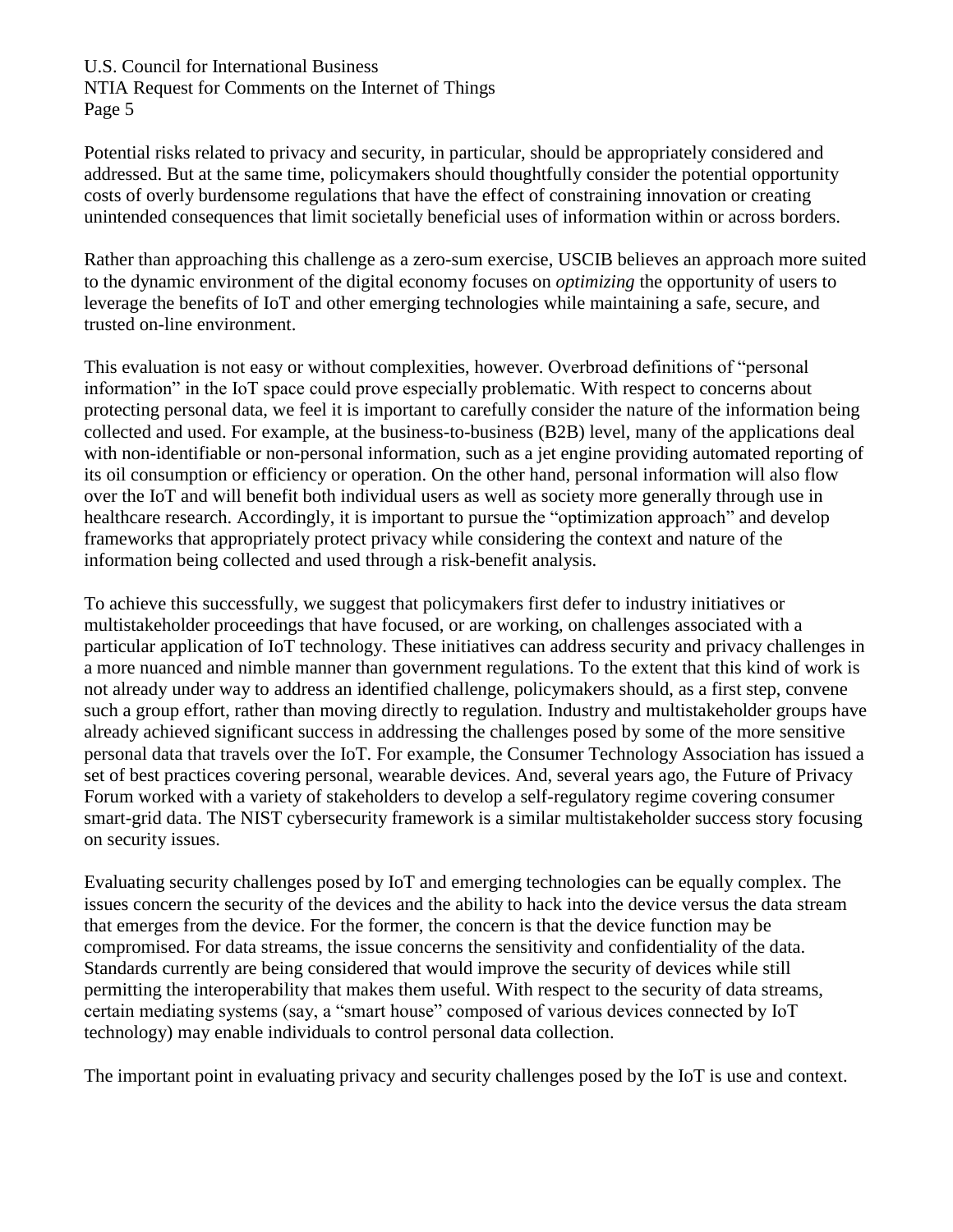NTIA Request for Comments on the Internet of Things Page 5

Potential risks related to privacy and security, in particular, should be appropriately considered and addressed. But at the same time, policymakers should thoughtfully consider the potential opportunity costs of overly burdensome regulations that have the effect of constraining innovation or creating unintended consequences that limit societally beneficial uses of information within or across borders.

Rather than approaching this challenge as a zero-sum exercise, USCIB believes an approach more suited to the dynamic environment of the digital economy focuses on *optimizing* the opportunity of users to leverage the benefits of IoT and other emerging technologies while maintaining a safe, secure, and trusted on-line environment.

This evaluation is not easy or without complexities, however. Overbroad definitions of "personal information" in the IoT space could prove especially problematic. With respect to concerns about protecting personal data, we feel it is important to carefully consider the nature of the information being collected and used. For example, at the business-to-business (B2B) level, many of the applications deal with non-identifiable or non-personal information, such as a jet engine providing automated reporting of its oil consumption or efficiency or operation. On the other hand, personal information will also flow over the IoT and will benefit both individual users as well as society more generally through use in healthcare research. Accordingly, it is important to pursue the "optimization approach" and develop frameworks that appropriately protect privacy while considering the context and nature of the information being collected and used through a risk-benefit analysis.

To achieve this successfully, we suggest that policymakers first defer to industry initiatives or multistakeholder proceedings that have focused, or are working, on challenges associated with a particular application of IoT technology. These initiatives can address security and privacy challenges in a more nuanced and nimble manner than government regulations. To the extent that this kind of work is not already under way to address an identified challenge, policymakers should, as a first step, convene such a group effort, rather than moving directly to regulation. Industry and multistakeholder groups have already achieved significant success in addressing the challenges posed by some of the more sensitive personal data that travels over the IoT. For example, the Consumer Technology Association has issued a set of best practices covering personal, wearable devices. And, several years ago, the Future of Privacy Forum worked with a variety of stakeholders to develop a self-regulatory regime covering consumer smart-grid data. The NIST cybersecurity framework is a similar multistakeholder success story focusing on security issues.

Evaluating security challenges posed by IoT and emerging technologies can be equally complex. The issues concern the security of the devices and the ability to hack into the device versus the data stream that emerges from the device. For the former, the concern is that the device function may be compromised. For data streams, the issue concerns the sensitivity and confidentiality of the data. Standards currently are being considered that would improve the security of devices while still permitting the interoperability that makes them useful. With respect to the security of data streams, certain mediating systems (say, a "smart house" composed of various devices connected by IoT technology) may enable individuals to control personal data collection.

The important point in evaluating privacy and security challenges posed by the IoT is use and context.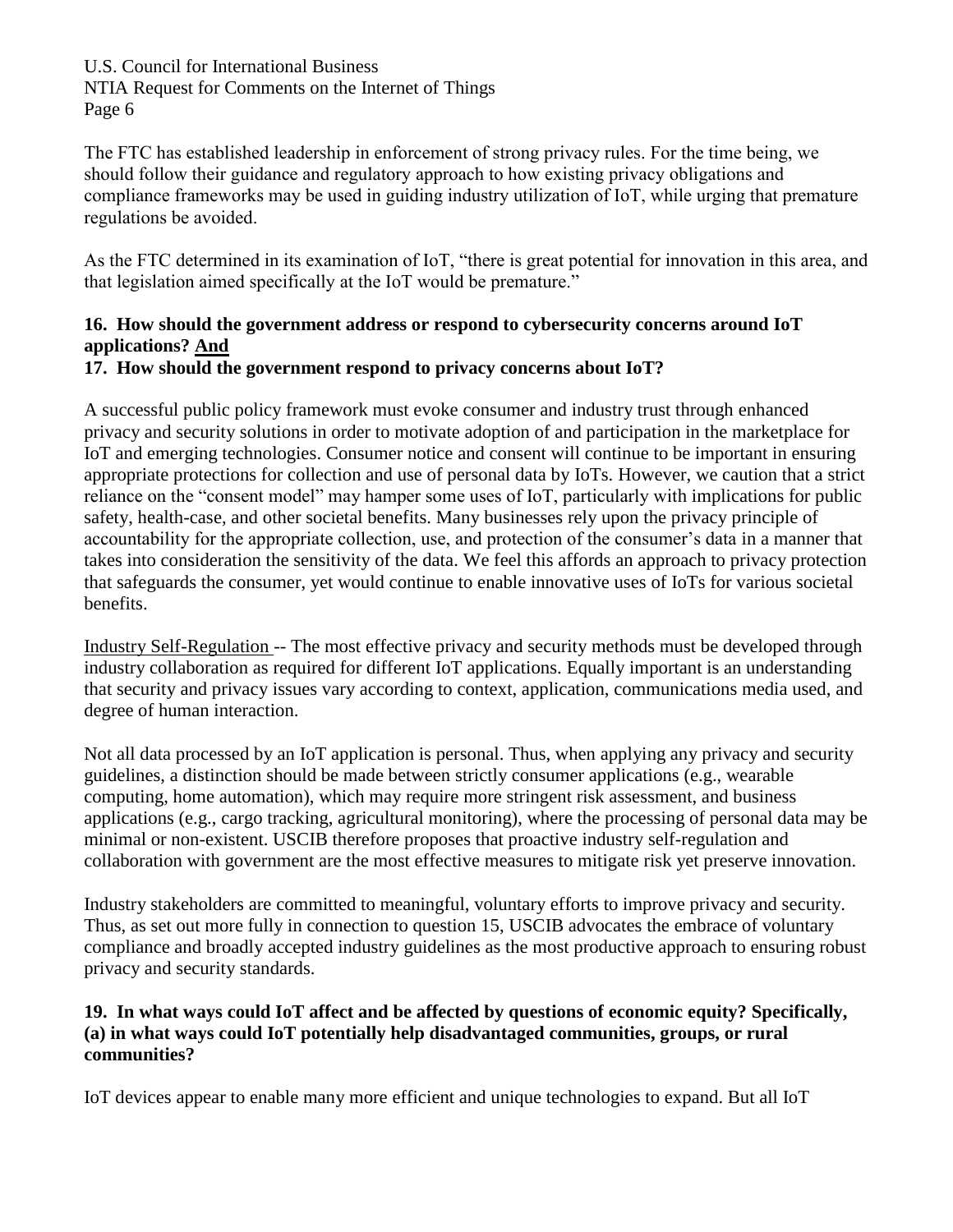NTIA Request for Comments on the Internet of Things Page 6

The FTC has established leadership in enforcement of strong privacy rules. For the time being, we should follow their guidance and regulatory approach to how existing privacy obligations and compliance frameworks may be used in guiding industry utilization of IoT, while urging that premature regulations be avoided.

As the FTC determined in its examination of IoT, "there is great potential for innovation in this area, and that legislation aimed specifically at the IoT would be premature."

# **16. How should the government address or respond to cybersecurity concerns around IoT applications? And**

## **17. How should the government respond to privacy concerns about IoT?**

A successful public policy framework must evoke consumer and industry trust through enhanced privacy and security solutions in order to motivate adoption of and participation in the marketplace for IoT and emerging technologies. Consumer notice and consent will continue to be important in ensuring appropriate protections for collection and use of personal data by IoTs. However, we caution that a strict reliance on the "consent model" may hamper some uses of IoT, particularly with implications for public safety, health-case, and other societal benefits. Many businesses rely upon the privacy principle of accountability for the appropriate collection, use, and protection of the consumer's data in a manner that takes into consideration the sensitivity of the data. We feel this affords an approach to privacy protection that safeguards the consumer, yet would continue to enable innovative uses of IoTs for various societal benefits.

Industry Self-Regulation -- The most effective privacy and security methods must be developed through industry collaboration as required for different IoT applications. Equally important is an understanding that security and privacy issues vary according to context, application, communications media used, and degree of human interaction.

Not all data processed by an IoT application is personal. Thus, when applying any privacy and security guidelines, a distinction should be made between strictly consumer applications (e.g., wearable computing, home automation), which may require more stringent risk assessment, and business applications (e.g., cargo tracking, agricultural monitoring), where the processing of personal data may be minimal or non-existent. USCIB therefore proposes that proactive industry self-regulation and collaboration with government are the most effective measures to mitigate risk yet preserve innovation.

Industry stakeholders are committed to meaningful, voluntary efforts to improve privacy and security. Thus, as set out more fully in connection to question 15, USCIB advocates the embrace of voluntary compliance and broadly accepted industry guidelines as the most productive approach to ensuring robust privacy and security standards.

## **19. In what ways could IoT affect and be affected by questions of economic equity? Specifically, (a) in what ways could IoT potentially help disadvantaged communities, groups, or rural communities?**

IoT devices appear to enable many more efficient and unique technologies to expand. But all IoT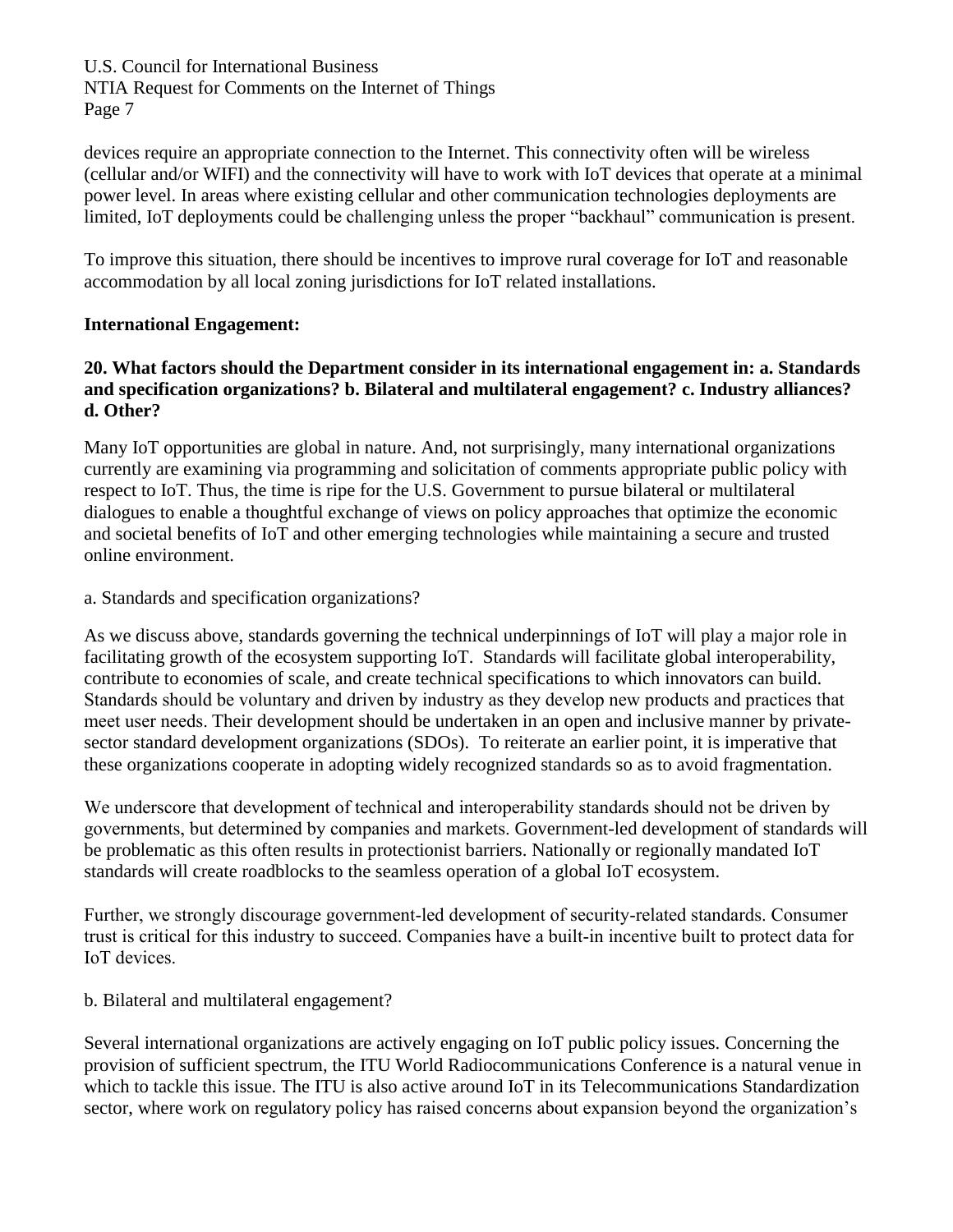NTIA Request for Comments on the Internet of Things Page 7

devices require an appropriate connection to the Internet. This connectivity often will be wireless (cellular and/or WIFI) and the connectivity will have to work with IoT devices that operate at a minimal power level. In areas where existing cellular and other communication technologies deployments are limited, IoT deployments could be challenging unless the proper "backhaul" communication is present.

To improve this situation, there should be incentives to improve rural coverage for IoT and reasonable accommodation by all local zoning jurisdictions for IoT related installations.

### **International Engagement:**

### **20. What factors should the Department consider in its international engagement in: a. Standards and specification organizations? b. Bilateral and multilateral engagement? c. Industry alliances? d. Other?**

Many IoT opportunities are global in nature. And, not surprisingly, many international organizations currently are examining via programming and solicitation of comments appropriate public policy with respect to IoT. Thus, the time is ripe for the U.S. Government to pursue bilateral or multilateral dialogues to enable a thoughtful exchange of views on policy approaches that optimize the economic and societal benefits of IoT and other emerging technologies while maintaining a secure and trusted online environment.

a. Standards and specification organizations?

As we discuss above, standards governing the technical underpinnings of IoT will play a major role in facilitating growth of the ecosystem supporting IoT. Standards will facilitate global interoperability, contribute to economies of scale, and create technical specifications to which innovators can build. Standards should be voluntary and driven by industry as they develop new products and practices that meet user needs. Their development should be undertaken in an open and inclusive manner by privatesector standard development organizations (SDOs). To reiterate an earlier point, it is imperative that these organizations cooperate in adopting widely recognized standards so as to avoid fragmentation.

We underscore that development of technical and interoperability standards should not be driven by governments, but determined by companies and markets. Government-led development of standards will be problematic as this often results in protectionist barriers. Nationally or regionally mandated IoT standards will create roadblocks to the seamless operation of a global IoT ecosystem.

Further, we strongly discourage government-led development of security-related standards. Consumer trust is critical for this industry to succeed. Companies have a built-in incentive built to protect data for IoT devices.

b. Bilateral and multilateral engagement?

Several international organizations are actively engaging on IoT public policy issues. Concerning the provision of sufficient spectrum, the ITU World Radiocommunications Conference is a natural venue in which to tackle this issue. The ITU is also active around IoT in its Telecommunications Standardization sector, where work on regulatory policy has raised concerns about expansion beyond the organization's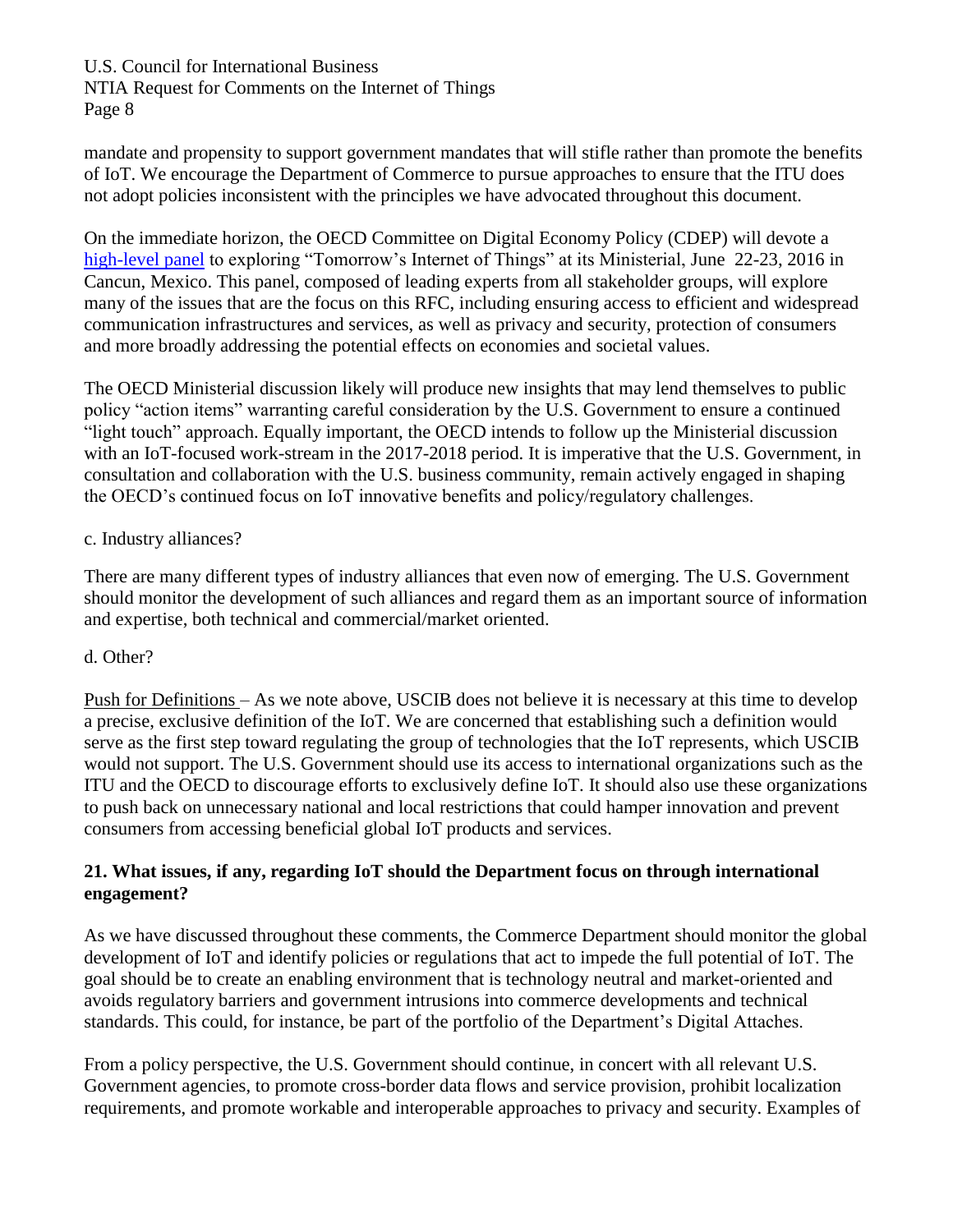NTIA Request for Comments on the Internet of Things Page 8

mandate and propensity to support government mandates that will stifle rather than promote the benefits of IoT. We encourage the Department of Commerce to pursue approaches to ensure that the ITU does not adopt policies inconsistent with the principles we have advocated throughout this document.

On the immediate horizon, the OECD Committee on Digital Economy Policy (CDEP) will devote a [high-level panel](http://www.oecd.org/internet/ministerial/themes/building-global-connectivity/) to exploring "Tomorrow's Internet of Things" at its Ministerial, June 22-23, 2016 in Cancun, Mexico. This panel, composed of leading experts from all stakeholder groups, will explore many of the issues that are the focus on this RFC, including ensuring access to efficient and widespread communication infrastructures and services, as well as privacy and security, protection of consumers and more broadly addressing the potential effects on economies and societal values.

The OECD Ministerial discussion likely will produce new insights that may lend themselves to public policy "action items" warranting careful consideration by the U.S. Government to ensure a continued "light touch" approach. Equally important, the OECD intends to follow up the Ministerial discussion with an IoT-focused work-stream in the 2017-2018 period. It is imperative that the U.S. Government, in consultation and collaboration with the U.S. business community, remain actively engaged in shaping the OECD's continued focus on IoT innovative benefits and policy/regulatory challenges.

### c. Industry alliances?

There are many different types of industry alliances that even now of emerging. The U.S. Government should monitor the development of such alliances and regard them as an important source of information and expertise, both technical and commercial/market oriented.

### d. Other?

Push for Definitions – As we note above, USCIB does not believe it is necessary at this time to develop a precise, exclusive definition of the IoT. We are concerned that establishing such a definition would serve as the first step toward regulating the group of technologies that the IoT represents, which USCIB would not support. The U.S. Government should use its access to international organizations such as the ITU and the OECD to discourage efforts to exclusively define IoT. It should also use these organizations to push back on unnecessary national and local restrictions that could hamper innovation and prevent consumers from accessing beneficial global IoT products and services.

### **21. What issues, if any, regarding IoT should the Department focus on through international engagement?**

As we have discussed throughout these comments, the Commerce Department should monitor the global development of IoT and identify policies or regulations that act to impede the full potential of IoT. The goal should be to create an enabling environment that is technology neutral and market-oriented and avoids regulatory barriers and government intrusions into commerce developments and technical standards. This could, for instance, be part of the portfolio of the Department's Digital Attaches.

From a policy perspective, the U.S. Government should continue, in concert with all relevant U.S. Government agencies, to promote cross-border data flows and service provision, prohibit localization requirements, and promote workable and interoperable approaches to privacy and security. Examples of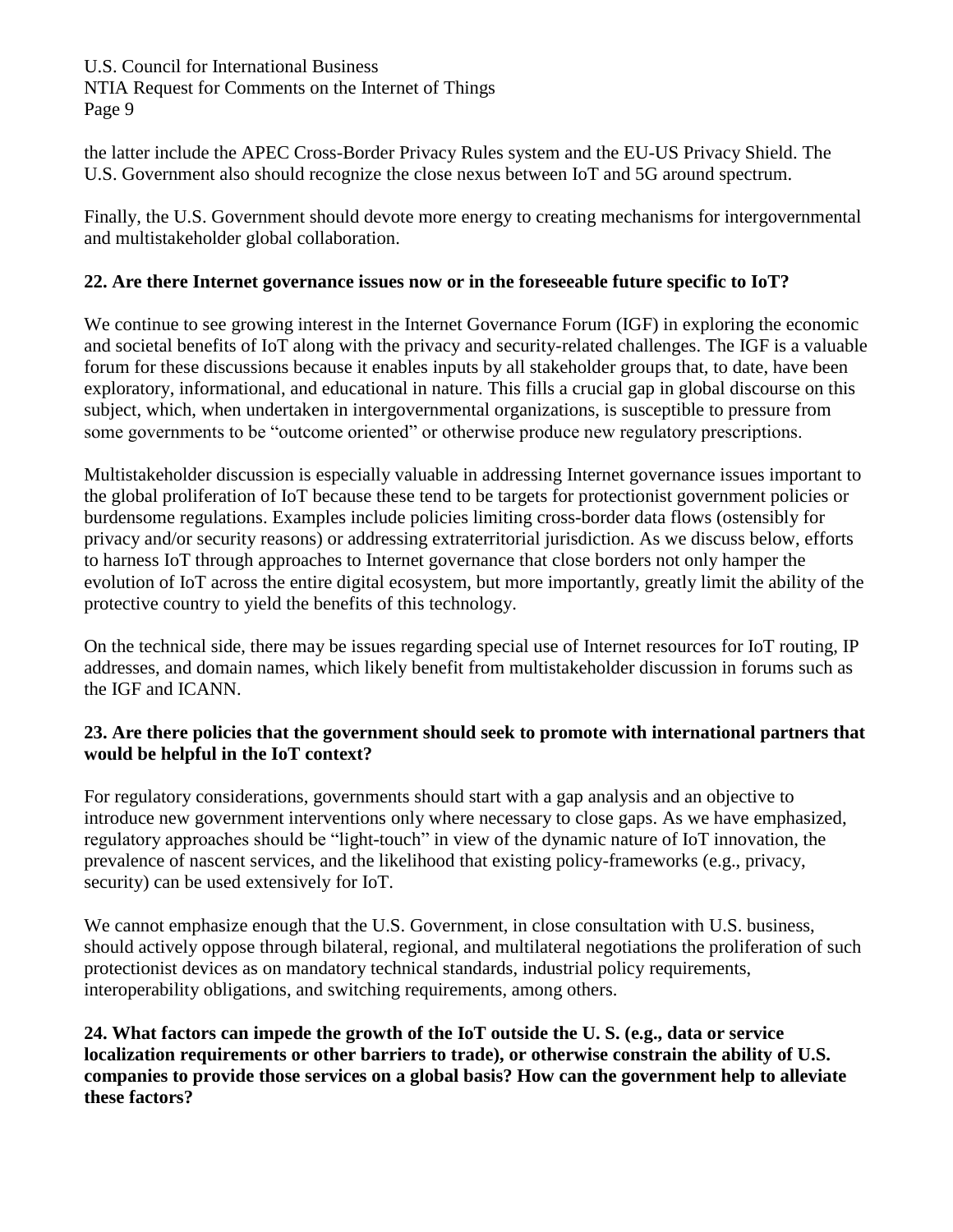U.S. Council for International Business NTIA Request for Comments on the Internet of Things Page 9

the latter include the APEC Cross-Border Privacy Rules system and the EU-US Privacy Shield. The U.S. Government also should recognize the close nexus between IoT and 5G around spectrum.

Finally, the U.S. Government should devote more energy to creating mechanisms for intergovernmental and multistakeholder global collaboration.

## **22. Are there Internet governance issues now or in the foreseeable future specific to IoT?**

We continue to see growing interest in the Internet Governance Forum (IGF) in exploring the economic and societal benefits of IoT along with the privacy and security-related challenges. The IGF is a valuable forum for these discussions because it enables inputs by all stakeholder groups that, to date, have been exploratory, informational, and educational in nature. This fills a crucial gap in global discourse on this subject, which, when undertaken in intergovernmental organizations, is susceptible to pressure from some governments to be "outcome oriented" or otherwise produce new regulatory prescriptions.

Multistakeholder discussion is especially valuable in addressing Internet governance issues important to the global proliferation of IoT because these tend to be targets for protectionist government policies or burdensome regulations. Examples include policies limiting cross-border data flows (ostensibly for privacy and/or security reasons) or addressing extraterritorial jurisdiction. As we discuss below, efforts to harness IoT through approaches to Internet governance that close borders not only hamper the evolution of IoT across the entire digital ecosystem, but more importantly, greatly limit the ability of the protective country to yield the benefits of this technology.

On the technical side, there may be issues regarding special use of Internet resources for IoT routing, IP addresses, and domain names, which likely benefit from multistakeholder discussion in forums such as the IGF and ICANN.

## **23. Are there policies that the government should seek to promote with international partners that would be helpful in the IoT context?**

For regulatory considerations, governments should start with a gap analysis and an objective to introduce new government interventions only where necessary to close gaps. As we have emphasized, regulatory approaches should be "light-touch" in view of the dynamic nature of IoT innovation, the prevalence of nascent services, and the likelihood that existing policy-frameworks (e.g., privacy, security) can be used extensively for IoT.

We cannot emphasize enough that the U.S. Government, in close consultation with U.S. business, should actively oppose through bilateral, regional, and multilateral negotiations the proliferation of such protectionist devices as on mandatory technical standards, industrial policy requirements, interoperability obligations, and switching requirements, among others.

**24. What factors can impede the growth of the IoT outside the U. S. (e.g., data or service localization requirements or other barriers to trade), or otherwise constrain the ability of U.S. companies to provide those services on a global basis? How can the government help to alleviate these factors?**